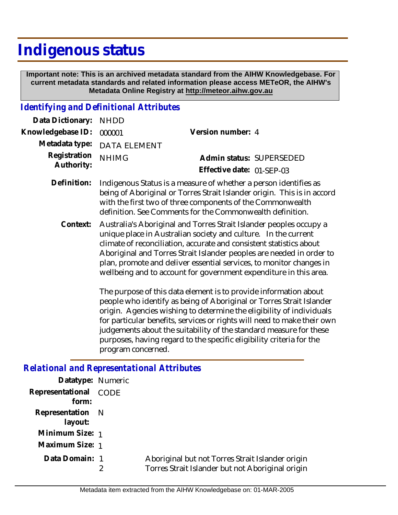# **Indigenous status**

 **Important note: This is an archived metadata standard from the AIHW Knowledgebase. For current metadata standards and related information please access METeOR, the AIHW's Metadata Online Registry at http://meteor.aihw.gov.au**

### *Identifying and Definitional Attributes*

| Data Dictionary: NHDD         |                                                                              |                           |                          |
|-------------------------------|------------------------------------------------------------------------------|---------------------------|--------------------------|
| Knowledgebase ID: 000001      |                                                                              | Version number: 4         |                          |
|                               | Metadata type: DATA ELEMENT                                                  |                           |                          |
| Registration <sub>NHIMG</sub> |                                                                              |                           | Admin status: SUPERSEDED |
| Authority:                    |                                                                              | Effective date: 01-SEP-03 |                          |
|                               | Definition. Indiacogue Ctatus is a mesoure of whather a neroon identifies as |                           |                          |

- Indigenous Status is a measure of whether a person identifies as being of Aboriginal or Torres Strait Islander origin. This is in accord with the first two of three components of the Commonwealth definition. See Comments for the Commonwealth definition. **Definition:**
	- Australia's Aboriginal and Torres Strait Islander peoples occupy a unique place in Australian society and culture. In the current climate of reconciliation, accurate and consistent statistics about Aboriginal and Torres Strait Islander peoples are needed in order to plan, promote and deliver essential services, to monitor changes in wellbeing and to account for government expenditure in this area. **Context:**

The purpose of this data element is to provide information about people who identify as being of Aboriginal or Torres Strait Islander origin. Agencies wishing to determine the eligibility of individuals for particular benefits, services or rights will need to make their own judgements about the suitability of the standard measure for these purposes, having regard to the specific eligibility criteria for the program concerned.

*Relational and Representational Attributes*

| Datatype: Numeric              |                                                                                                      |
|--------------------------------|------------------------------------------------------------------------------------------------------|
| Representational CODE<br>form: |                                                                                                      |
| Representation N<br>layout:    |                                                                                                      |
| Minimum Size: 1                |                                                                                                      |
| Maximum Size: 1                |                                                                                                      |
| Data Domain: 1                 | Aboriginal but not Torres Strait Islander origin<br>Torres Strait Islander but not Aboriginal origin |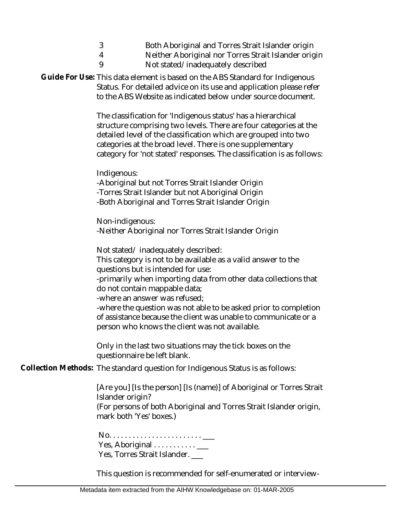|   | Both Aboriginal and Torres Strait Islander origin                                                              |
|---|----------------------------------------------------------------------------------------------------------------|
| 4 | Neither Aboriginal nor Torres Strait Islander origin                                                           |
|   | Alberta Leither all 29 annual annual annual an Indian an Alberta an Indian annual an Indian annual annual annu |

9 Not stated/inadequately described

Guide For Use: This data element is based on the ABS Standard for Indigenous Status. For detailed advice on its use and application please refer to the ABS Website as indicated below under source document.

> The classification for 'Indigenous status' has a hierarchical structure comprising two levels. There are four categories at the detailed level of the classification which are grouped into two categories at the broad level. There is one supplementary category for 'not stated' responses. The classification is as follows:

Indigenous:

-Aboriginal but not Torres Strait Islander Origin -Torres Strait Islander but not Aboriginal Origin -Both Aboriginal and Torres Strait Islander Origin

Non-indigenous: -Neither Aboriginal nor Torres Strait Islander Origin

Not stated/ inadequately described:

This category is not to be available as a valid answer to the questions but is intended for use:

-primarily when importing data from other data collections that do not contain mappable data;

-where an answer was refused;

-where the question was not able to be asked prior to completion of assistance because the client was unable to communicate or a person who knows the client was not available.

Only in the last two situations may the tick boxes on the questionnaire be left blank.

Collection Methods: The standard question for Indigenous Status is as follows:

[Are you] [Is the person] [Is (name)] of Aboriginal or Torres Strait Islander origin?

(For persons of both Aboriginal and Torres Strait Islander origin, mark both 'Yes' boxes.)

 No. . . . . . . . . . . . . . . . . . . . . . . . \_\_\_ Yes, Aboriginal . . . . . . . . . . . \_\_\_ Yes, Torres Strait Islander. \_\_\_

This question is recommended for self-enumerated or interview-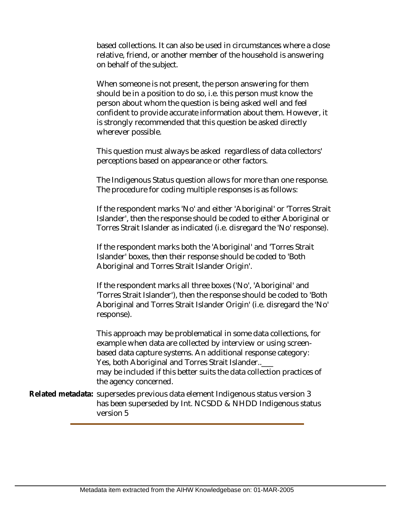based collections. It can also be used in circumstances where a close relative, friend, or another member of the household is answering on behalf of the subject.

When someone is not present, the person answering for them should be in a position to do so, i.e. this person must know the person about whom the question is being asked well and feel confident to provide accurate information about them. However, it is strongly recommended that this question be asked directly wherever possible.

This question must always be asked regardless of data collectors' perceptions based on appearance or other factors.

The Indigenous Status question allows for more than one response. The procedure for coding multiple responses is as follows:

If the respondent marks 'No' and either 'Aboriginal' or 'Torres Strait Islander', then the response should be coded to either Aboriginal or Torres Strait Islander as indicated (i.e. disregard the 'No' response).

If the respondent marks both the 'Aboriginal' and 'Torres Strait Islander' boxes, then their response should be coded to 'Both Aboriginal and Torres Strait Islander Origin'.

If the respondent marks all three boxes ('No', 'Aboriginal' and 'Torres Strait Islander'), then the response should be coded to 'Both Aboriginal and Torres Strait Islander Origin' (i.e. disregard the 'No' response).

This approach may be problematical in some data collections, for example when data are collected by interview or using screenbased data capture systems. An additional response category: Yes, both Aboriginal and Torres Strait Islander..\_\_ may be included if this better suits the data collection practices of the agency concerned.

Related metadata: supersedes previous data element Indigenous status version 3 has been superseded by Int. NCSDD & NHDD Indigenous status version 5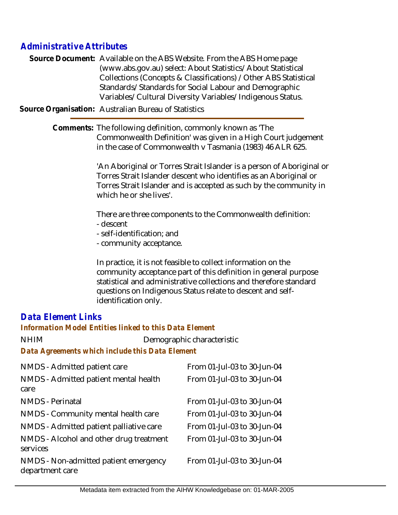## *Administrative Attributes*

Source Document: Available on the ABS Website. From the ABS Home page (www.abs.gov.au) select: About Statistics/About Statistical Collections (Concepts & Classifications) /Other ABS Statistical Standards/Standards for Social Labour and Demographic Variables/Cultural Diversity Variables/Indigenous Status.

**Source Organisation:** Australian Bureau of Statistics

Comments: The following definition, commonly known as 'The Commonwealth Definition' was given in a High Court judgement in the case of Commonwealth v Tasmania (1983) 46 ALR 625.

> 'An Aboriginal or Torres Strait Islander is a person of Aboriginal or Torres Strait Islander descent who identifies as an Aboriginal or Torres Strait Islander and is accepted as such by the community in which he or she lives'.

There are three components to the Commonwealth definition: - descent

- self-identification; and
- community acceptance.

In practice, it is not feasible to collect information on the community acceptance part of this definition in general purpose statistical and administrative collections and therefore standard questions on Indigenous Status relate to descent and selfidentification only.

## *Data Element Links*

#### *Information Model Entities linked to this Data Element*

NHIM Demographic characteristic

*Data Agreements which include this Data Element*

| NMDS - Admitted patient care                             | From 01-Jul-03 to 30-Jun-04 |
|----------------------------------------------------------|-----------------------------|
| NMDS - Admitted patient mental health<br>care            | From 01-Jul-03 to 30-Jun-04 |
| <b>NMDS</b> - Perinatal                                  | From 01-Jul-03 to 30-Jun-04 |
| NMDS - Community mental health care                      | From 01-Jul-03 to 30-Jun-04 |
| NMDS - Admitted patient palliative care                  | From 01-Jul-03 to 30-Jun-04 |
| NMDS - Alcohol and other drug treatment<br>services      | From 01-Jul-03 to 30-Jun-04 |
| NMDS - Non-admitted patient emergency<br>department care | From 01-Jul-03 to 30-Jun-04 |